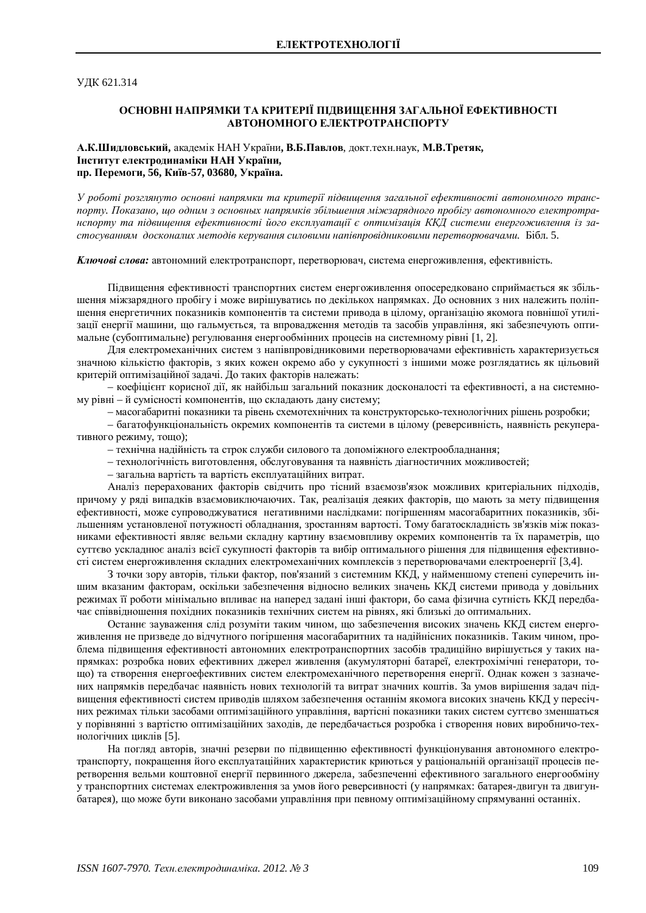**УЛК 621.314** 

## ОСНОВНІ НАПРЯМКИ ТА КРИТЕРІЇ ПІДВИЩЕННЯ ЗАГАЛЬНОЇ ЕФЕКТИВНОСТІ **ЛАВТОНОМНОГО ЕЛЕКТРОТРАНСПОРТУ**

А.К.Шидловський, академік НАН України, В.Б.Павлов, докт. техн. наук, М.В.Третяк,  **Інститут електродинаміки НАН України,** пр. Перемоги, 56, Київ-57, 03680, Україна.

 $Y$  роботі розглянуто основні напрямки та критерії підвишення загальної ефективності автономного транслорту. Показано, шо одним з основных напрямків збільшення міжзарядного пробігу автономного електротранспорту та підвишення ефективності його експлуатації є оптимізація ККД системи енергоживлення із застосуванням досконалих методів керування силовими напівпровідниковими перетворювачами. Бібл. 5.

**Ключові слова:** автономний електротранспорт, перетворювач, система енергоживлення, ефективність.

Підвищення ефективності транспортних систем енергоживлення опосередковано сприймається як збільшення міжзарядного пробігу і може вирішуватись по декількох напрямках. До основних з них належить поліпшення енергетичних показників компонентів та системи привода в цілому, організацію якомога повнішої утилізації енергії машини, що гальмується, та впровадження методів та засобів управління, які забезпечують оптимальне (субоптимальне) регулювання енергообмінних процесів на системному рівні [1, 2].

Для електромеханічних систем з напівпровідниковими перетворювачами ефективність характеризується значною кількістю факторів, з яких кожен окремо або у сукупності з іншими може розглядатись як цільовий критерій оптимізаційної залачі. Ло таких факторів належать:

– коефіцієнт корисної лії, як найбільш загальний показник лосконалості та ефективності, а на системному рівні – й сумісності компонентів, що складають дану систему;

- масогабаритні показники та рівень схемотехнічних та конструкторсько-технологічних рішень розробки;

- багатофункціональність окремих компонентів та системи в цілому (реверсивність, наявність рекуперативного режиму, тощо);

– технічна надійність та строк служби силового та допоміжного електрообладнання;

- технологічність виготовлення, обслуговування та наявність діагностичних можливостей;

– загальна вартість та вартість експлуатаційних витрат.

Аналіз перерахованих факторів свідчить про тісний взаємозв'язок можливих критеріальних підходів, причому у ряді випадків взаємовиключаючих. Так, реалізація деяких факторів, що мають за мету підвищення ефективності, може супроводжуватися негативними наслідками: погіршенням масогабаритних показників, збільшенням установленої потужності обладнання, зростанням вартості. Тому багатоскладність зв'язків між показниками ефективності являє вельми складну картину взаємовпливу окремих компонентів та їх параметрів, що суттєво ускладнює аналіз всієї сукупності факторів та вибір оптимального рішення для підвищення ефективності систем енергоживлення складних електромеханічних комплексів з перетворювачами електроенергії [3,4].

З точки зору авторів, тільки фактор, пов'язаний з системним ККД, у найменшому степені суперечить іншим вказаним факторам, оскільки забезпечення відносно великих значень ККД системи привода у довільних режимах її роботи мінімально впливає на наперед задані інші фактори, бо сама фізична сутність ККД передбачає співвідношення похідних показників технічних систем на рівнях, які близькі до оптимальних.

Останнє зауваження сліл розуміти таким чином, що забезпечення високих значень ККЛ систем енергоживлення не призведе до відчутного погіршення масогабаритних та надійнісних показників. Таким чином, проблема підвищення ефективності автономних електротранспортних засобів традиційно вирішується у таких напрямках: розробка нових ефективних джерел живлення (акумуляторні батареї, електрохімічні генератори, тощо) та створення енергоефективних систем електромеханічного перетворення енергії. Однак кожен з зазначених напрямків передбачає наявність нових технологій та витрат значних коштів. За умов вирішення задач підвищення ефективності систем приводів шляхом забезпечення останнім якомога високих значень ККД у пересічних режимах тільки засобами оптимізаційного управління, вартісні показники таких систем суттєво зменшаться у порівнянні з вартістю оптимізаційних заходів, де передбачається розробка і створення нових виробничо-технологічних циклів [5].

На погляд авторів, значні резерви по підвищенню ефективності функціонування автономного електротранспорту, покращення його експлуатаційних характеристик криються у раціональній організації процесів перетворення вельми коштовної енергії первинного джерела, забезпеченні ефективного загального енергообміну у транспортних системах електроживлення за умов його реверсивності (у напрямках: батарея-двигун та двигунбатарея), що може бути виконано засобами управління при певному оптимізаційному спрямуванні останніх.